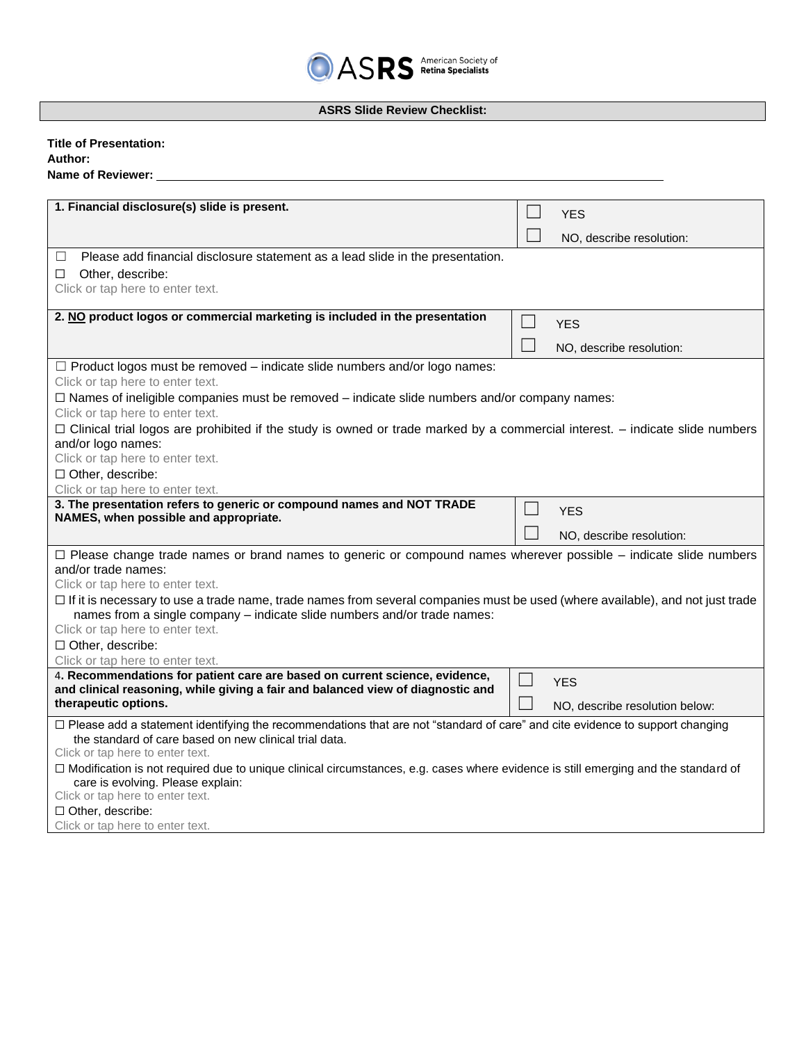## **ASRS Slide Review Checklist:**

| <b>Title of Presentation:</b>                                                                                                                             |                                |
|-----------------------------------------------------------------------------------------------------------------------------------------------------------|--------------------------------|
| Author:                                                                                                                                                   |                                |
| Name of Reviewer:                                                                                                                                         |                                |
|                                                                                                                                                           |                                |
| 1. Financial disclosure(s) slide is present.                                                                                                              | <b>YES</b>                     |
|                                                                                                                                                           | NO, describe resolution:       |
| Please add financial disclosure statement as a lead slide in the presentation.<br>$\Box$                                                                  |                                |
| Other, describe:<br>$\Box$                                                                                                                                |                                |
| Click or tap here to enter text.                                                                                                                          |                                |
|                                                                                                                                                           |                                |
| 2. NO product logos or commercial marketing is included in the presentation                                                                               | $\blacksquare$<br><b>YES</b>   |
|                                                                                                                                                           |                                |
|                                                                                                                                                           | NO, describe resolution:       |
| $\Box$ Product logos must be removed – indicate slide numbers and/or logo names:                                                                          |                                |
| Click or tap here to enter text.                                                                                                                          |                                |
| $\Box$ Names of ineligible companies must be removed – indicate slide numbers and/or company names:                                                       |                                |
| Click or tap here to enter text.                                                                                                                          |                                |
| $\Box$ Clinical trial logos are prohibited if the study is owned or trade marked by a commercial interest. – indicate slide numbers<br>and/or logo names: |                                |
| Click or tap here to enter text.                                                                                                                          |                                |
| $\Box$ Other, describe:                                                                                                                                   |                                |
| Click or tap here to enter text.                                                                                                                          |                                |
| 3. The presentation refers to generic or compound names and NOT TRADE                                                                                     | <b>YES</b>                     |
| NAMES, when possible and appropriate.                                                                                                                     |                                |
|                                                                                                                                                           | NO, describe resolution:       |
| $\Box$ Please change trade names or brand names to generic or compound names wherever possible – indicate slide numbers                                   |                                |
| and/or trade names:                                                                                                                                       |                                |
| Click or tap here to enter text.                                                                                                                          |                                |
| $\Box$ If it is necessary to use a trade name, trade names from several companies must be used (where available), and not just trade                      |                                |
| names from a single company - indicate slide numbers and/or trade names:                                                                                  |                                |
| Click or tap here to enter text.<br>$\Box$ Other, describe:                                                                                               |                                |
| Click or tap here to enter text.                                                                                                                          |                                |
| 4. Recommendations for patient care are based on current science, evidence,                                                                               |                                |
| and clinical reasoning, while giving a fair and balanced view of diagnostic and                                                                           | <b>YES</b>                     |
| therapeutic options.                                                                                                                                      | NO, describe resolution below: |
| □ Please add a statement identifying the recommendations that are not "standard of care" and cite evidence to support changing                            |                                |
| the standard of care based on new clinical trial data.                                                                                                    |                                |
| Click or tap here to enter text.                                                                                                                          |                                |
| □ Modification is not required due to unique clinical circumstances, e.g. cases where evidence is still emerging and the standard of                      |                                |
| care is evolving. Please explain:<br>Click or tap here to enter text.                                                                                     |                                |
|                                                                                                                                                           |                                |

☐ Other, describe:

Click or tap here to enter text.